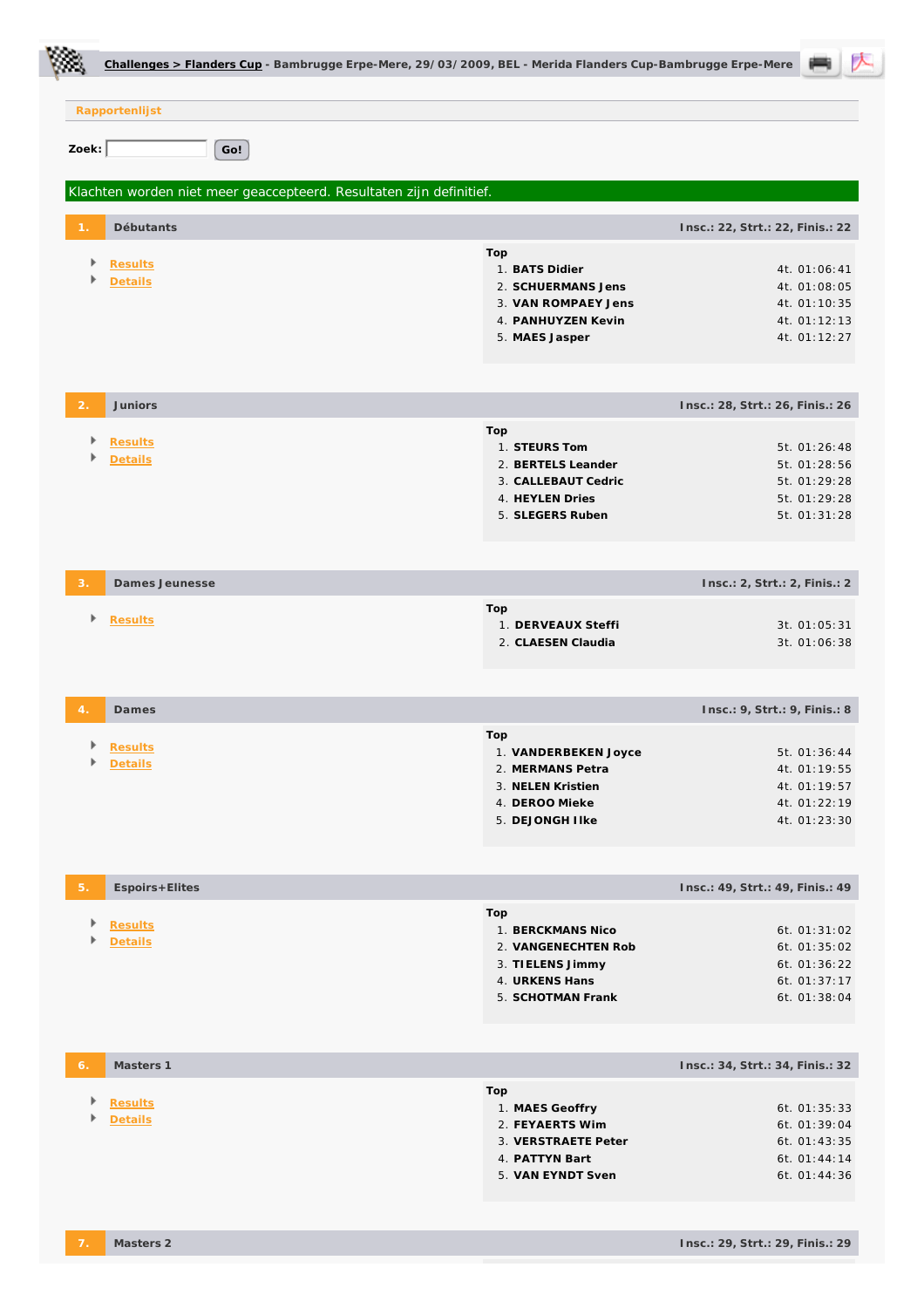|                |                    | Challenges > Flanders Cup - Bambrugge Erpe-Mere, 29/03/2009, BEL - Merida Flanders Cup-Bambrugge Erpe-Mere |     |                                          |                                  |                              |  |
|----------------|--------------------|------------------------------------------------------------------------------------------------------------|-----|------------------------------------------|----------------------------------|------------------------------|--|
|                | Rapportenlijst     |                                                                                                            |     |                                          |                                  |                              |  |
| Zoek:          | Go!                |                                                                                                            |     |                                          |                                  |                              |  |
|                |                    |                                                                                                            |     |                                          |                                  |                              |  |
|                |                    | Klachten worden niet meer geaccepteerd. Resultaten zijn definitief.                                        |     |                                          |                                  |                              |  |
|                | Débutants          |                                                                                                            |     |                                          | Insc.: 22, Strt.: 22, Finis.: 22 |                              |  |
|                | <b>Results</b>     |                                                                                                            | Top | 1. BATS Didier                           |                                  |                              |  |
|                | Details            |                                                                                                            |     | 2. SCHUERMANS Jens                       |                                  | 4t. 01:06:41<br>4t. 01:08:05 |  |
|                |                    |                                                                                                            |     | 3. VAN ROMPAEY Jens                      |                                  | 4t. 01:10:35                 |  |
|                |                    |                                                                                                            |     | 4. PANHUYZEN Kevin                       |                                  | 4t. 01:12:13                 |  |
|                |                    |                                                                                                            |     | 5. MAES Jasper                           |                                  | 4t. 01:12:27                 |  |
|                |                    |                                                                                                            |     |                                          |                                  |                              |  |
| $\mathcal{P}$  | Juniors            |                                                                                                            |     |                                          | Insc.: 28, Strt.: 26, Finis.: 26 |                              |  |
|                | <b>Results</b>     |                                                                                                            | Top | 1. STEURS Tom                            |                                  | 5t. 01:26:48                 |  |
|                | <b>Details</b>     |                                                                                                            |     | 2. BERTELS Leander                       |                                  | 5t. 01:28:56                 |  |
|                |                    |                                                                                                            |     | 3. CALLEBAUT Cedric                      |                                  | 5t. 01:29:28                 |  |
|                |                    |                                                                                                            |     | 4. HEYLEN Dries<br>5. SLEGERS Ruben      |                                  | 5t. 01:29:28<br>5t. 01:31:28 |  |
|                |                    |                                                                                                            |     |                                          |                                  |                              |  |
|                |                    |                                                                                                            |     |                                          |                                  |                              |  |
| 3.             | Dames Jeunesse     |                                                                                                            |     |                                          | Insc.: 2, Strt.: 2, Finis.: 2    |                              |  |
| Þ              | Results            |                                                                                                            | Top | 1. DERVEAUX Steffi                       |                                  | 3t. 01:05:31                 |  |
|                |                    |                                                                                                            |     | 2. CLAESEN Claudia                       |                                  | 3t. 01:06:38                 |  |
|                |                    |                                                                                                            |     |                                          |                                  |                              |  |
| $\overline{4}$ | Dames              |                                                                                                            |     |                                          | Insc.: 9, Strt.: 9, Finis.: 8    |                              |  |
|                |                    |                                                                                                            | Top |                                          |                                  |                              |  |
| Þ              | Results<br>Details |                                                                                                            |     | 1. VANDERBEKEN Joyce                     |                                  | 5t. 01:36:44<br>4t. 01:19:55 |  |
|                |                    |                                                                                                            |     | 2. MERMANS Petra<br>3. NELEN Kristien    |                                  | 4t. 01:19:57                 |  |
|                |                    |                                                                                                            |     | 4. DEROO Mieke                           |                                  | 4t. 01:22:19                 |  |
|                |                    |                                                                                                            |     | 5. DEJONGH I Ike                         |                                  | 4t. 01:23:30                 |  |
|                |                    |                                                                                                            |     |                                          |                                  |                              |  |
| 5.             | Espoirs+Elites     |                                                                                                            |     |                                          | Insc.: 49, Strt.: 49, Finis.: 49 |                              |  |
| Þ              | <b>Results</b>     |                                                                                                            | Top |                                          |                                  |                              |  |
|                | Details            |                                                                                                            |     | 1. BERCKMANS Nico<br>2. VANGENECHTEN Rob |                                  | 6t. 01:31:02<br>6t. 01:35:02 |  |
|                |                    |                                                                                                            |     | 3. TIELENS Jimmy                         |                                  | 6t. 01:36:22                 |  |
|                |                    |                                                                                                            |     | 4. URKENS Hans                           |                                  | 6t. 01:37:17                 |  |
|                |                    |                                                                                                            |     | 5. SCHOTMAN Frank                        |                                  | 6t. 01:38:04                 |  |
|                |                    |                                                                                                            |     |                                          |                                  |                              |  |
| 6.             | Masters 1          |                                                                                                            |     |                                          | Insc.: 34, Strt.: 34, Finis.: 32 |                              |  |
|                | <b>Results</b>     |                                                                                                            | Top |                                          |                                  |                              |  |
|                | Details            |                                                                                                            |     | 1. MAES Geoffry<br>2. FEYAERTS Wim       |                                  | 6t. 01:35:33<br>6t. 01:39:04 |  |
|                |                    |                                                                                                            |     | 3. VERSTRAETE Peter                      |                                  | 6t. 01:43:35                 |  |
|                |                    |                                                                                                            |     | 4. PATTYN Bart                           |                                  | 6t. 01:44:14                 |  |
|                |                    |                                                                                                            |     | 5. VAN EYNDT Sven                        |                                  | 6t. 01:44:36                 |  |
|                |                    |                                                                                                            |     |                                          |                                  |                              |  |